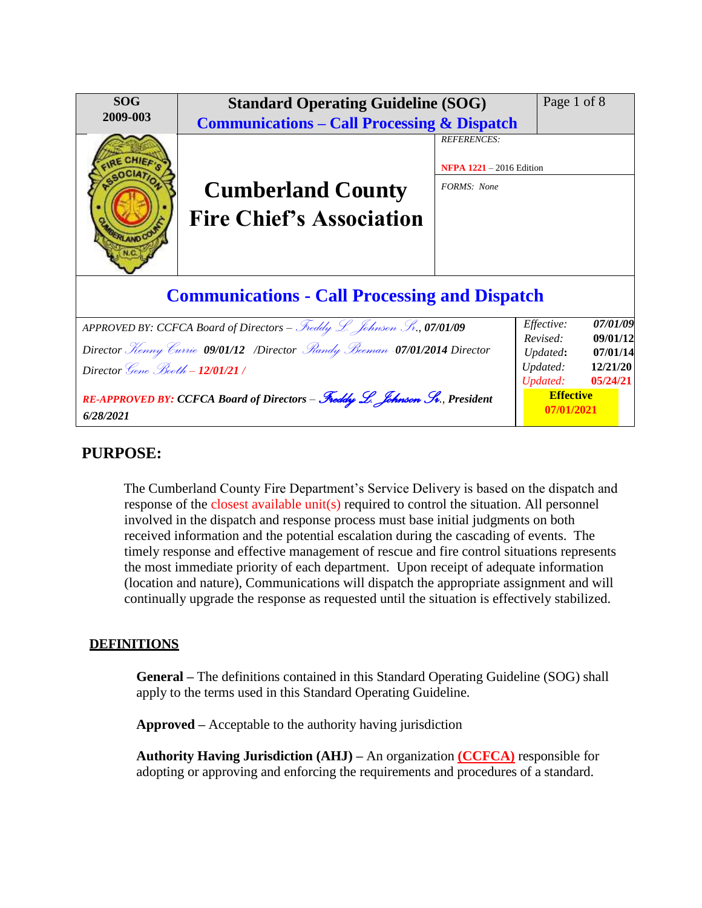| <b>SOG</b>                                                                               | <b>Standard Operating Guideline (SOG)</b>              |                                 | Page 1 of 8                                            |                      |  |  |
|------------------------------------------------------------------------------------------|--------------------------------------------------------|---------------------------------|--------------------------------------------------------|----------------------|--|--|
| 2009-003                                                                                 | <b>Communications – Call Processing &amp; Dispatch</b> |                                 |                                                        |                      |  |  |
|                                                                                          |                                                        | <b>REFERENCES:</b>              |                                                        |                      |  |  |
|                                                                                          |                                                        | <b>NFPA 1221</b> - 2016 Edition |                                                        |                      |  |  |
|                                                                                          | <b>Cumberland County</b>                               | FORMS: None                     |                                                        |                      |  |  |
| RLANDOO                                                                                  | <b>Fire Chief's Association</b>                        |                                 |                                                        |                      |  |  |
| <b>Communications - Call Processing and Dispatch</b>                                     |                                                        |                                 |                                                        |                      |  |  |
| APPROVED BY: CCFCA Board of Directors - Freddy L. Johnson Sr., 07/01/09                  |                                                        |                                 | Effective:                                             | 07/01/09             |  |  |
| Director <i>Kenny Currie</i> 09/01/12 /Director <i>Randy Beeman</i> -07/01/2014 Director |                                                        |                                 | Revised:<br>Updated:                                   | 09/01/12<br>07/01/14 |  |  |
| Director <i>Gene Booth</i> - 12/01/21 /                                                  |                                                        |                                 | Updated:                                               | 12/21/20             |  |  |
| RE-APPROVED BY: CCFCA Board of Directors - Freddy L. Johnson Sv., President<br>6/28/2021 |                                                        |                                 | 05/24/21<br>Updated:<br><b>Effective</b><br>07/01/2021 |                      |  |  |

# **PURPOSE:**

The Cumberland County Fire Department's Service Delivery is based on the dispatch and response of the closest available unit(s) required to control the situation. All personnel involved in the dispatch and response process must base initial judgments on both received information and the potential escalation during the cascading of events. The timely response and effective management of rescue and fire control situations represents the most immediate priority of each department. Upon receipt of adequate information (location and nature), Communications will dispatch the appropriate assignment and will continually upgrade the response as requested until the situation is effectively stabilized.

## **DEFINITIONS**

**General –** The definitions contained in this Standard Operating Guideline (SOG) shall apply to the terms used in this Standard Operating Guideline.

**Approved –** Acceptable to the authority having jurisdiction

**Authority Having Jurisdiction (AHJ) –** An organization **(CCFCA)** responsible for adopting or approving and enforcing the requirements and procedures of a standard.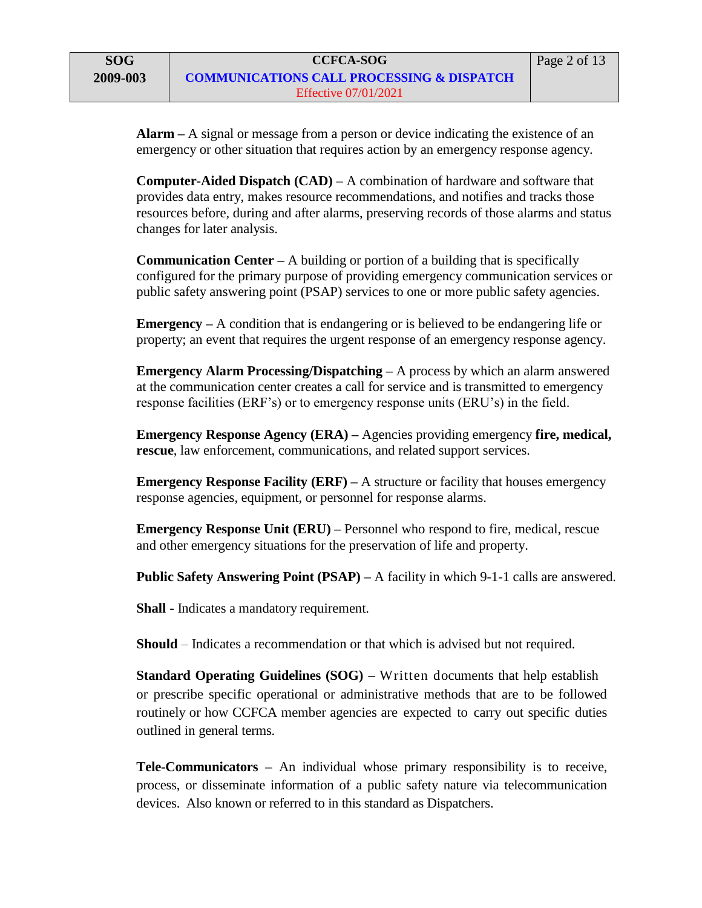**Alarm –** A signal or message from a person or device indicating the existence of an emergency or other situation that requires action by an emergency response agency.

**Computer-Aided Dispatch (CAD) –** A combination of hardware and software that provides data entry, makes resource recommendations, and notifies and tracks those resources before, during and after alarms, preserving records of those alarms and status changes for later analysis.

**Communication Center –** A building or portion of a building that is specifically configured for the primary purpose of providing emergency communication services or public safety answering point (PSAP) services to one or more public safety agencies.

**Emergency –** A condition that is endangering or is believed to be endangering life or property; an event that requires the urgent response of an emergency response agency.

**Emergency Alarm Processing/Dispatching –** A process by which an alarm answered at the communication center creates a call for service and is transmitted to emergency response facilities (ERF's) or to emergency response units (ERU's) in the field.

**Emergency Response Agency (ERA) –** Agencies providing emergency **fire, medical, rescue**, law enforcement, communications, and related support services.

**Emergency Response Facility (ERF)** – A structure or facility that houses emergency response agencies, equipment, or personnel for response alarms.

**Emergency Response Unit (ERU) –** Personnel who respond to fire, medical, rescue and other emergency situations for the preservation of life and property.

**Public Safety Answering Point (PSAP) – A facility in which 9-1-1 calls are answered.** 

**Shall -** Indicates a mandatory requirement.

**Should** – Indicates a recommendation or that which is advised but not required.

**Standard Operating Guidelines (SOG)** – Written documents that help establish or prescribe specific operational or administrative methods that are to be followed routinely or how CCFCA member agencies are expected to carry out specific duties outlined in general terms.

**Tele-Communicators –** An individual whose primary responsibility is to receive, process, or disseminate information of a public safety nature via telecommunication devices. Also known or referred to in this standard as Dispatchers.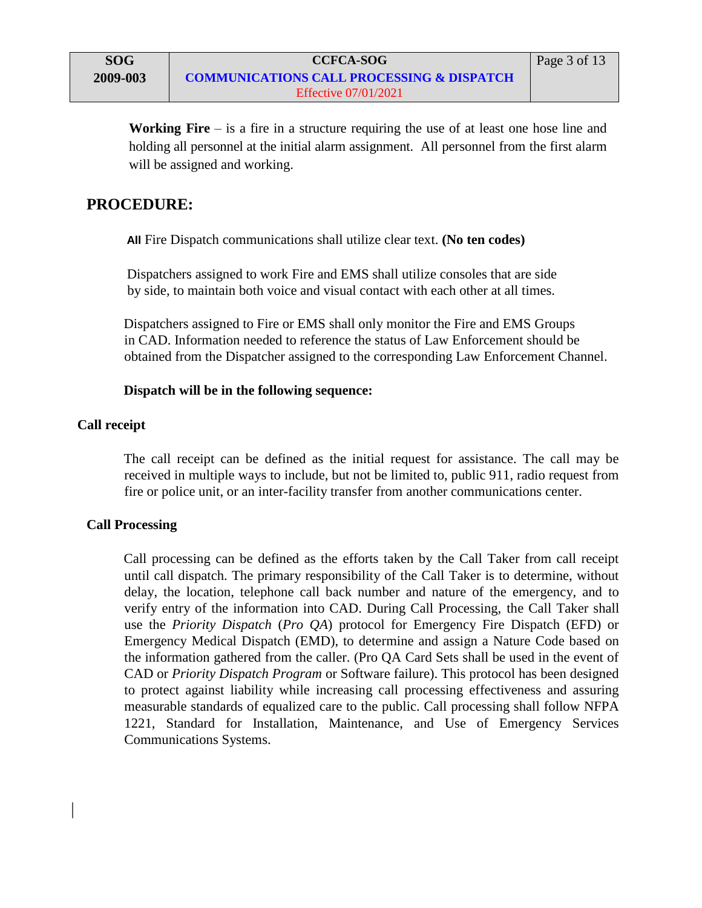**Working Fire** – is a fire in a structure requiring the use of at least one hose line and holding all personnel at the initial alarm assignment. All personnel from the first alarm will be assigned and working.

## **PROCEDURE:**

**All** Fire Dispatch communications shall utilize clear text. **(No ten codes)**

Dispatchers assigned to work Fire and EMS shall utilize consoles that are side by side, to maintain both voice and visual contact with each other at all times.

Dispatchers assigned to Fire or EMS shall only monitor the Fire and EMS Groups in CAD. Information needed to reference the status of Law Enforcement should be obtained from the Dispatcher assigned to the corresponding Law Enforcement Channel.

## **Dispatch will be in the following sequence:**

## **Call receipt**

The call receipt can be defined as the initial request for assistance. The call may be received in multiple ways to include, but not be limited to, public 911, radio request from fire or police unit, or an inter-facility transfer from another communications center.

## **Call Processing**

Call processing can be defined as the efforts taken by the Call Taker from call receipt until call dispatch. The primary responsibility of the Call Taker is to determine, without delay, the location, telephone call back number and nature of the emergency, and to verify entry of the information into CAD. During Call Processing, the Call Taker shall use the *Priority Dispatch* (*Pro QA*) protocol for Emergency Fire Dispatch (EFD) or Emergency Medical Dispatch (EMD), to determine and assign a Nature Code based on the information gathered from the caller. (Pro QA Card Sets shall be used in the event of CAD or *Priority Dispatch Program* or Software failure). This protocol has been designed to protect against liability while increasing call processing effectiveness and assuring measurable standards of equalized care to the public. Call processing shall follow NFPA 1221, Standard for Installation, Maintenance, and Use of Emergency Services Communications Systems.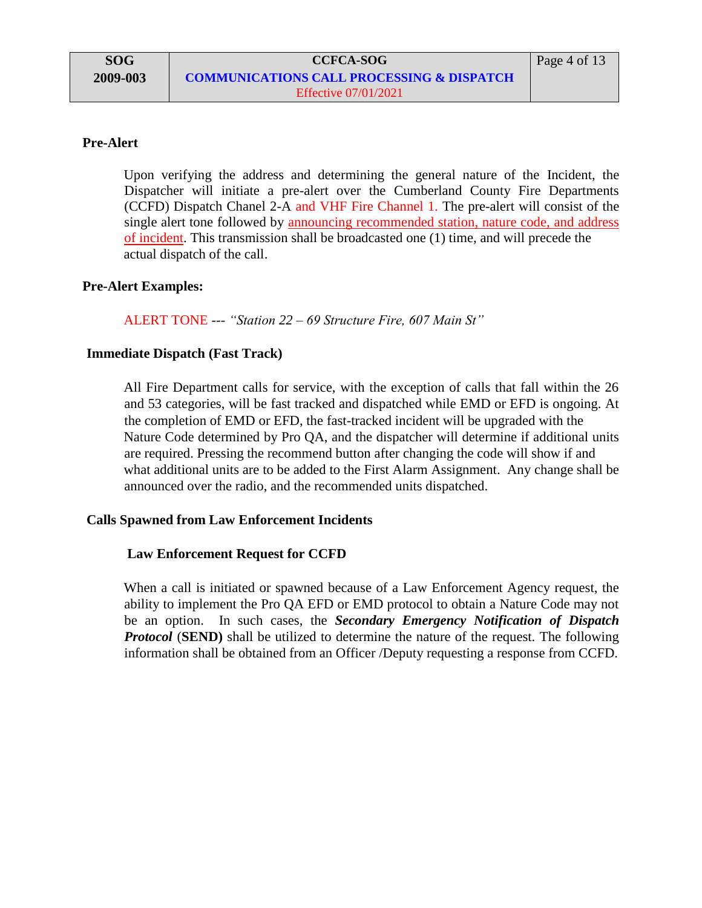### **Pre-Alert**

Upon verifying the address and determining the general nature of the Incident, the Dispatcher will initiate a pre-alert over the Cumberland County Fire Departments (CCFD) Dispatch Chanel 2-A and VHF Fire Channel 1. The pre-alert will consist of the single alert tone followed by announcing recommended station, nature code, and address of incident. This transmission shall be broadcasted one (1) time, and will precede the actual dispatch of the call.

## **Pre-Alert Examples:**

ALERT TONE --- *"Station 22 – 69 Structure Fire, 607 Main St"*

### **Immediate Dispatch (Fast Track)**

All Fire Department calls for service, with the exception of calls that fall within the 26 and 53 categories, will be fast tracked and dispatched while EMD or EFD is ongoing. At the completion of EMD or EFD, the fast-tracked incident will be upgraded with the Nature Code determined by Pro QA, and the dispatcher will determine if additional units are required. Pressing the recommend button after changing the code will show if and what additional units are to be added to the First Alarm Assignment. Any change shall be announced over the radio, and the recommended units dispatched.

#### **Calls Spawned from Law Enforcement Incidents**

#### **Law Enforcement Request for CCFD**

When a call is initiated or spawned because of a Law Enforcement Agency request, the ability to implement the Pro QA EFD or EMD protocol to obtain a Nature Code may not be an option. In such cases, the *Secondary Emergency Notification of Dispatch Protocol* (**SEND**) shall be utilized to determine the nature of the request. The following information shall be obtained from an Officer /Deputy requesting a response from CCFD.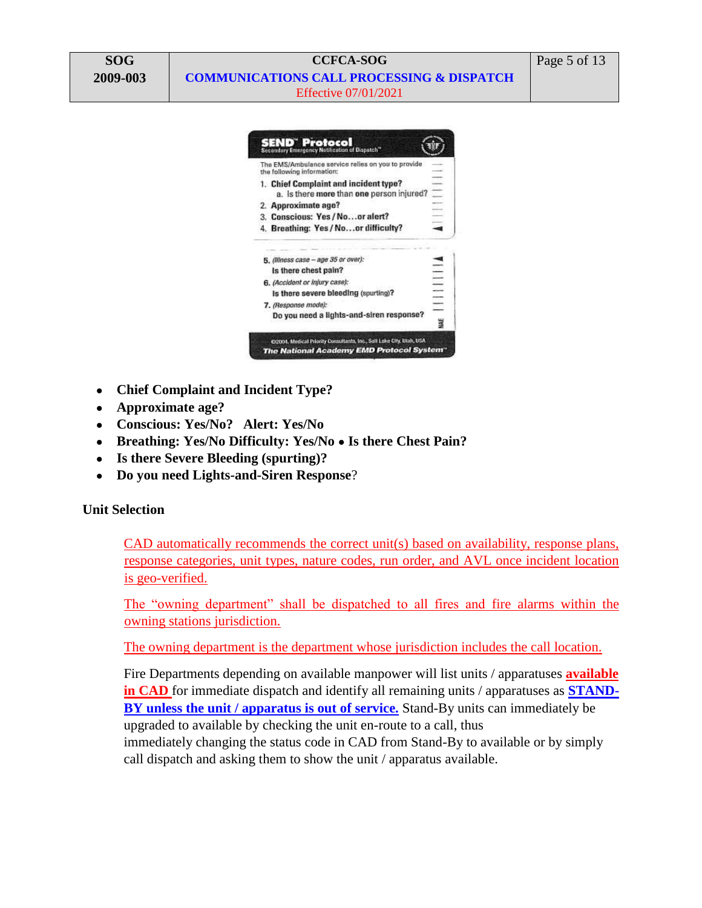



- **Chief Complaint and Incident Type?**
- **Approximate age?**
- **Conscious: Yes/No? Alert: Yes/No**
- **Breathing: Yes/No Difficulty: Yes/No Is there Chest Pain?**
- **Is there Severe Bleeding (spurting)?**
- **Do you need Lights-and-Siren Response**?

## **Unit Selection**

CAD automatically recommends the correct unit(s) based on availability, response plans, response categories, unit types, nature codes, run order, and AVL once incident location is geo-verified.

The "owning department" shall be dispatched to all fires and fire alarms within the owning stations jurisdiction.

The owning department is the department whose jurisdiction includes the call location.

Fire Departments depending on available manpower will list units / apparatuses **available in CAD** for immediate dispatch and identify all remaining units / apparatuses as **STAND-BY unless the unit / apparatus is out of service.** Stand-By units can immediately be upgraded to available by checking the unit en-route to a call, thus immediately changing the status code in CAD from Stand-By to available or by simply call dispatch and asking them to show the unit / apparatus available.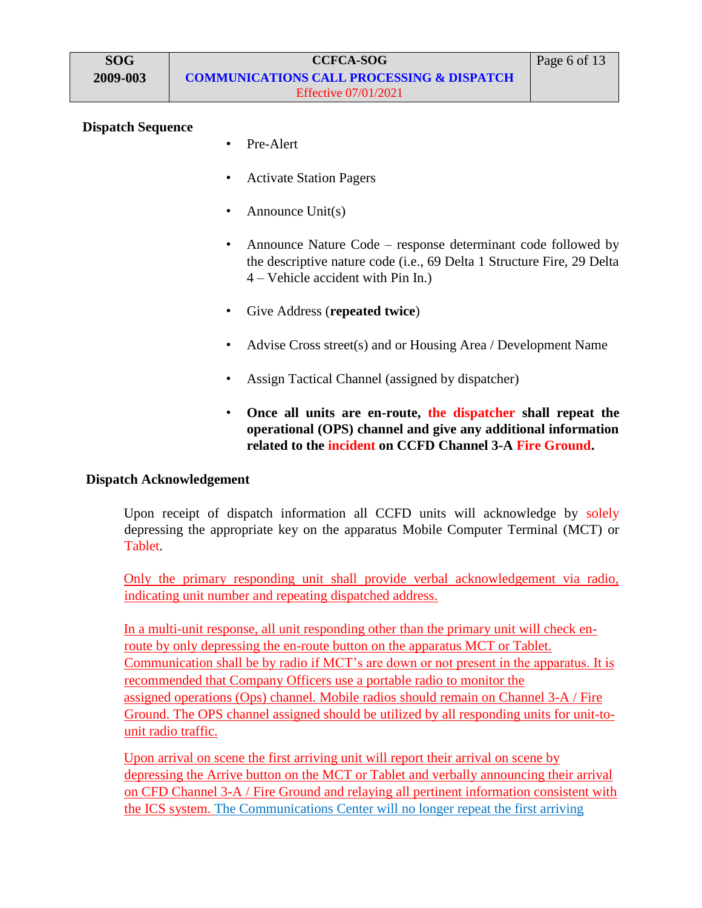### **Dispatch Sequence**

- Pre-Alert
- Activate Station Pagers
- Announce Unit(s)
- Announce Nature Code response determinant code followed by the descriptive nature code (i.e., 69 Delta 1 Structure Fire, 29 Delta 4 – Vehicle accident with Pin In.)
- Give Address (**repeated twice**)
- Advise Cross street(s) and or Housing Area / Development Name
- Assign Tactical Channel (assigned by dispatcher)
- **Once all units are en-route, the dispatcher shall repeat the operational (OPS) channel and give any additional information related to the incident on CCFD Channel 3-A Fire Ground.**

## **Dispatch Acknowledgement**

Upon receipt of dispatch information all CCFD units will acknowledge by solely depressing the appropriate key on the apparatus Mobile Computer Terminal (MCT) or Tablet.

Only the primary responding unit shall provide verbal acknowledgement via radio, indicating unit number and repeating dispatched address.

In a multi-unit response, all unit responding other than the primary unit will check enroute by only depressing the en-route button on the apparatus MCT or Tablet. Communication shall be by radio if MCT's are down or not present in the apparatus. It is recommended that Company Officers use a portable radio to monitor the assigned operations (Ops) channel. Mobile radios should remain on Channel 3-A / Fire Ground. The OPS channel assigned should be utilized by all responding units for unit-tounit radio traffic.

Upon arrival on scene the first arriving unit will report their arrival on scene by depressing the Arrive button on the MCT or Tablet and verbally announcing their arrival on CFD Channel 3-A / Fire Ground and relaying all pertinent information consistent with the ICS system. The Communications Center will no longer repeat the first arriving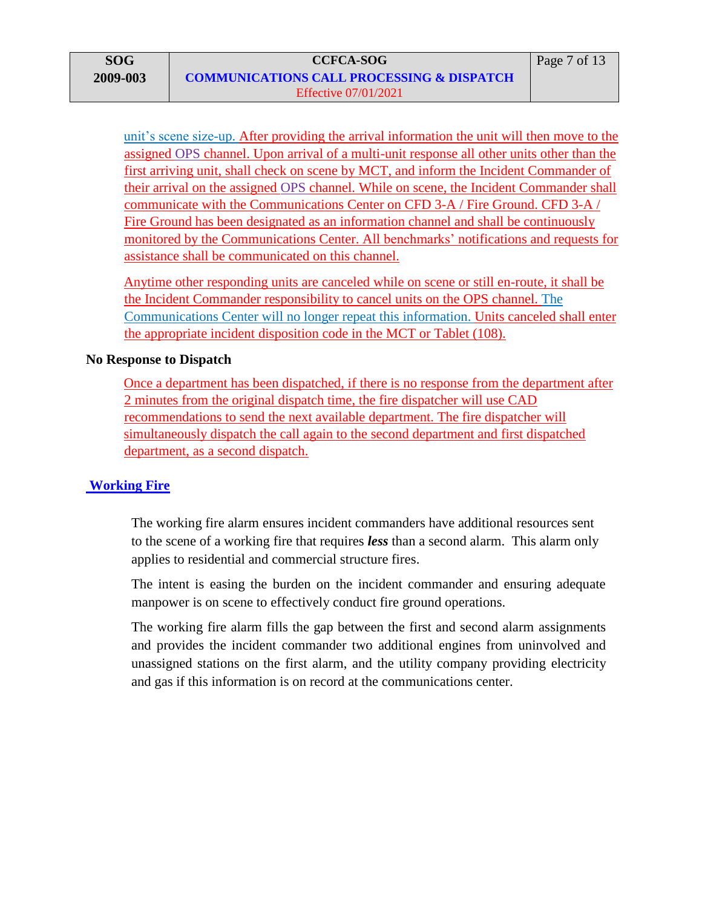unit's scene size-up. After providing the arrival information the unit will then move to the assigned OPS channel. Upon arrival of a multi-unit response all other units other than the first arriving unit, shall check on scene by MCT, and inform the Incident Commander of their arrival on the assigned OPS channel. While on scene, the Incident Commander shall communicate with the Communications Center on CFD 3-A / Fire Ground. CFD 3-A / Fire Ground has been designated as an information channel and shall be continuously monitored by the Communications Center. All benchmarks' notifications and requests for assistance shall be communicated on this channel.

Anytime other responding units are canceled while on scene or still en-route, it shall be the Incident Commander responsibility to cancel units on the OPS channel. The Communications Center will no longer repeat this information. Units canceled shall enter the appropriate incident disposition code in the MCT or Tablet (108).

## **No Response to Dispatch**

Once a department has been dispatched, if there is no response from the department after 2 minutes from the original dispatch time, the fire dispatcher will use CAD recommendations to send the next available department. The fire dispatcher will simultaneously dispatch the call again to the second department and first dispatched department, as a second dispatch.

## **Working Fire**

The working fire alarm ensures incident commanders have additional resources sent to the scene of a working fire that requires *less* than a second alarm. This alarm only applies to residential and commercial structure fires.

The intent is easing the burden on the incident commander and ensuring adequate manpower is on scene to effectively conduct fire ground operations.

The working fire alarm fills the gap between the first and second alarm assignments and provides the incident commander two additional engines from uninvolved and unassigned stations on the first alarm, and the utility company providing electricity and gas if this information is on record at the communications center.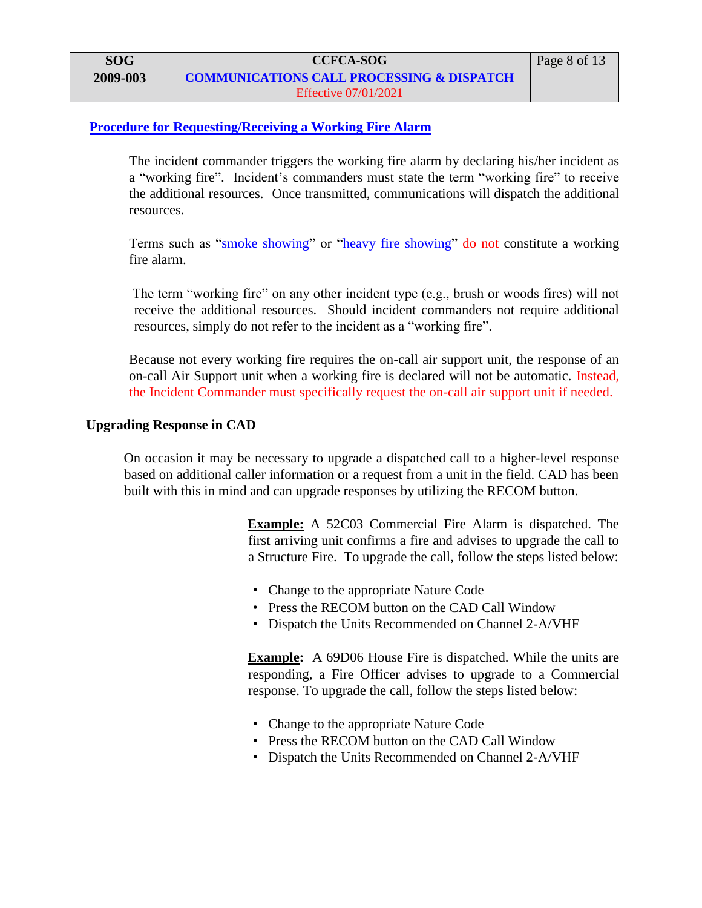### **Procedure for Requesting/Receiving a Working Fire Alarm**

The incident commander triggers the working fire alarm by declaring his/her incident as a "working fire". Incident's commanders must state the term "working fire" to receive the additional resources.Once transmitted, communications will dispatch the additional resources.

Terms such as "smoke showing" or "heavy fire showing" do not constitute a working fire alarm.

The term "working fire" on any other incident type (e.g., brush or woods fires) will not receive the additional resources. Should incident commanders not require additional resources, simply do not refer to the incident as a "working fire".

Because not every working fire requires the on-call air support unit, the response of an on-call Air Support unit when a working fire is declared will not be automatic. Instead, the Incident Commander must specifically request the on-call air support unit if needed.

#### **Upgrading Response in CAD**

On occasion it may be necessary to upgrade a dispatched call to a higher-level response based on additional caller information or a request from a unit in the field. CAD has been built with this in mind and can upgrade responses by utilizing the RECOM button.

> **Example:** A 52C03 Commercial Fire Alarm is dispatched. The first arriving unit confirms a fire and advises to upgrade the call to a Structure Fire. To upgrade the call, follow the steps listed below:

- Change to the appropriate Nature Code
- Press the RECOM button on the CAD Call Window
- Dispatch the Units Recommended on Channel 2-A/VHF

**Example:** A 69D06 House Fire is dispatched. While the units are responding, a Fire Officer advises to upgrade to a Commercial response. To upgrade the call, follow the steps listed below:

- Change to the appropriate Nature Code
- Press the RECOM button on the CAD Call Window
- Dispatch the Units Recommended on Channel 2-A/VHF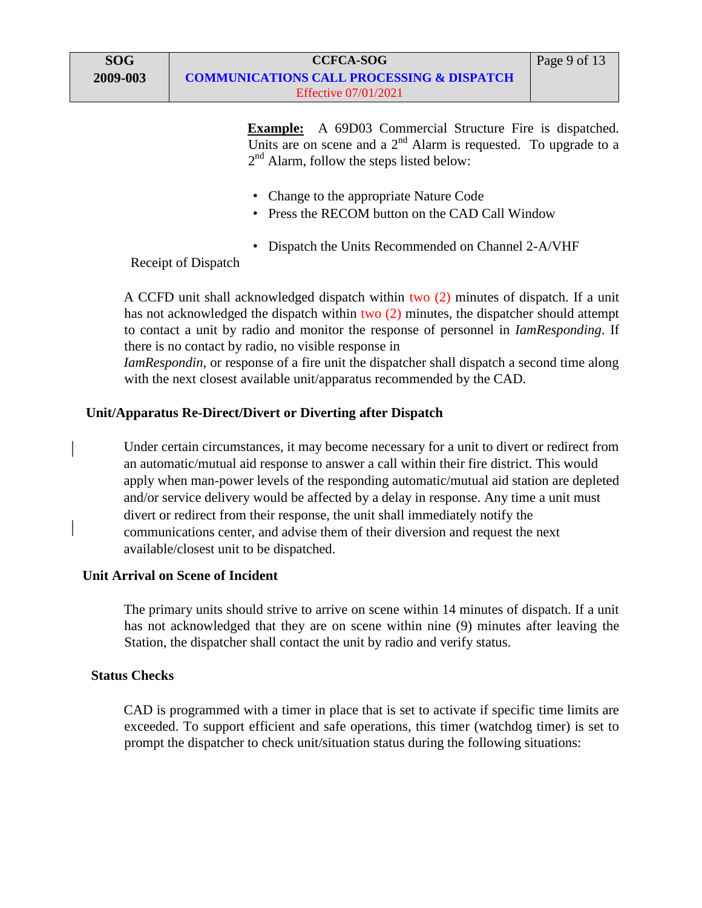Page 9 of 13

- Change to the appropriate Nature Code
- Press the RECOM button on the CAD Call Window
- Dispatch the Units Recommended on Channel 2-A/VHF

Receipt of Dispatch

A CCFD unit shall acknowledged dispatch within two (2) minutes of dispatch. If a unit has not acknowledged the dispatch within two (2) minutes, the dispatcher should attempt to contact a unit by radio and monitor the response of personnel in *IamResponding*. If there is no contact by radio, no visible response in

*IamRespondin*, or response of a fire unit the dispatcher shall dispatch a second time along with the next closest available unit/apparatus recommended by the CAD.

## **Unit/Apparatus Re-Direct/Divert or Diverting after Dispatch**

Under certain circumstances, it may become necessary for a unit to divert or redirect from an automatic/mutual aid response to answer a call within their fire district. This would apply when man-power levels of the responding automatic/mutual aid station are depleted and/or service delivery would be affected by a delay in response. Any time a unit must divert or redirect from their response, the unit shall immediately notify the communications center, and advise them of their diversion and request the next available/closest unit to be dispatched.

## **Unit Arrival on Scene of Incident**

The primary units should strive to arrive on scene within 14 minutes of dispatch. If a unit has not acknowledged that they are on scene within nine (9) minutes after leaving the Station, the dispatcher shall contact the unit by radio and verify status.

## **Status Checks**

CAD is programmed with a timer in place that is set to activate if specific time limits are exceeded. To support efficient and safe operations, this timer (watchdog timer) is set to prompt the dispatcher to check unit/situation status during the following situations: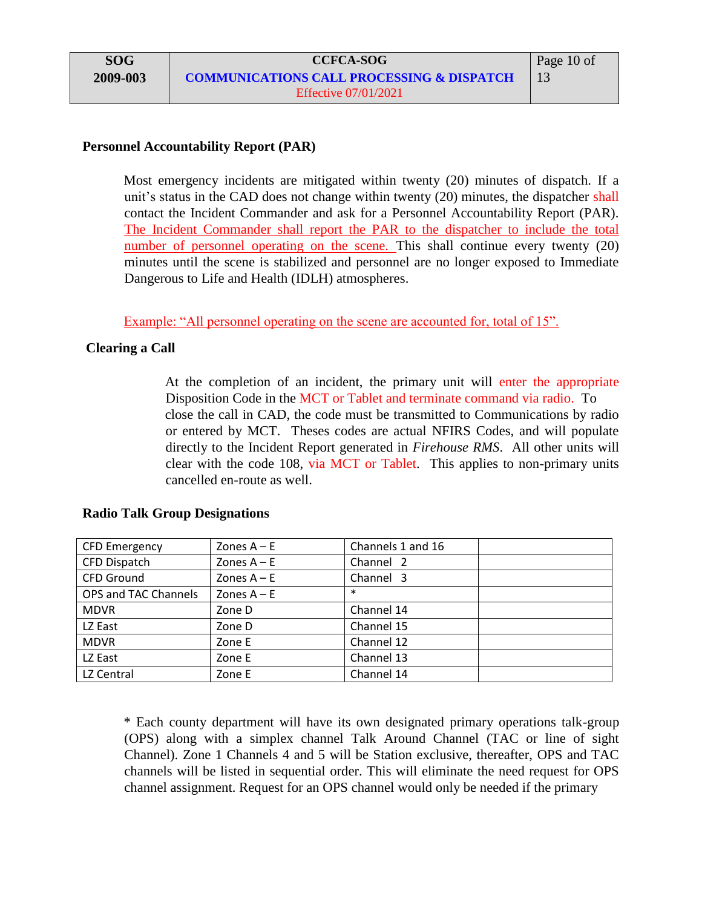## **Personnel Accountability Report (PAR)**

Most emergency incidents are mitigated within twenty (20) minutes of dispatch. If a unit's status in the CAD does not change within twenty (20) minutes, the dispatcher shall contact the Incident Commander and ask for a Personnel Accountability Report (PAR). The Incident Commander shall report the PAR to the dispatcher to include the total number of personnel operating on the scene. This shall continue every twenty (20) minutes until the scene is stabilized and personnel are no longer exposed to Immediate Dangerous to Life and Health (IDLH) atmospheres.

Example: "All personnel operating on the scene are accounted for, total of 15".

## **Clearing a Call**

At the completion of an incident, the primary unit will enter the appropriate Disposition Code in the MCT or Tablet and terminate command via radio. To close the call in CAD, the code must be transmitted to Communications by radio or entered by MCT. Theses codes are actual NFIRS Codes, and will populate directly to the Incident Report generated in *Firehouse RMS*. All other units will clear with the code 108, via MCT or Tablet. This applies to non-primary units cancelled en-route as well.

| <b>CFD Emergency</b> | Zones $A - E$ | Channels 1 and 16 |
|----------------------|---------------|-------------------|
| CFD Dispatch         | Zones $A - E$ | Channel 2         |
| <b>CFD Ground</b>    | Zones $A - E$ | Channel 3         |
| OPS and TAC Channels | Zones $A - E$ | $\ast$            |
| <b>MDVR</b>          | Zone D        | Channel 14        |
| LZ East              | Zone D        | Channel 15        |
| <b>MDVR</b>          | Zone E        | Channel 12        |
| LZ East              | Zone E        | Channel 13        |
| LZ Central           | Zone E        | Channel 14        |

## **Radio Talk Group Designations**

\* Each county department will have its own designated primary operations talk-group (OPS) along with a simplex channel Talk Around Channel (TAC or line of sight Channel). Zone 1 Channels 4 and 5 will be Station exclusive, thereafter, OPS and TAC channels will be listed in sequential order. This will eliminate the need request for OPS channel assignment. Request for an OPS channel would only be needed if the primary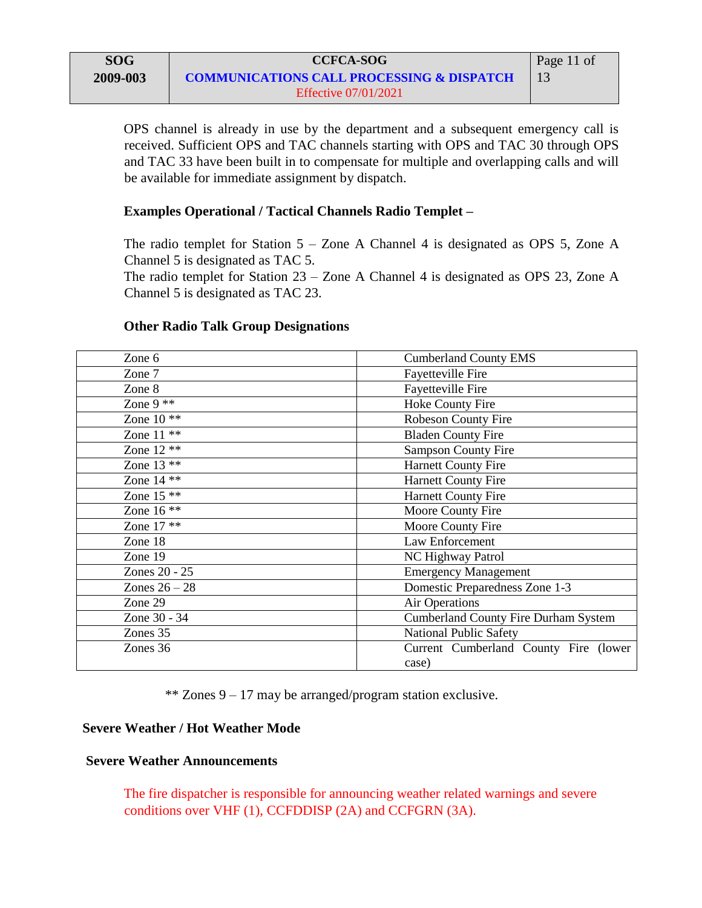OPS channel is already in use by the department and a subsequent emergency call is received. Sufficient OPS and TAC channels starting with OPS and TAC 30 through OPS and TAC 33 have been built in to compensate for multiple and overlapping calls and will be available for immediate assignment by dispatch.

## **Examples Operational / Tactical Channels Radio Templet –**

The radio templet for Station 5 – Zone A Channel 4 is designated as OPS 5, Zone A Channel 5 is designated as TAC 5.

The radio templet for Station 23 – Zone A Channel 4 is designated as OPS 23, Zone A Channel 5 is designated as TAC 23.

## **Other Radio Talk Group Designations**

| Zone 6            | <b>Cumberland County EMS</b>                   |  |
|-------------------|------------------------------------------------|--|
| Zone 7            | Fayetteville Fire                              |  |
| Zone 8            | Fayetteville Fire                              |  |
| Zone $9$ **       | Hoke County Fire                               |  |
| Zone $10 \times $ | Robeson County Fire                            |  |
| Zone $11$ **      | <b>Bladen County Fire</b>                      |  |
| Zone $12$ **      | <b>Sampson County Fire</b>                     |  |
| Zone $13$ **      | <b>Harnett County Fire</b>                     |  |
| Zone $14$ **      | <b>Harnett County Fire</b>                     |  |
| Zone $15$ **      | <b>Harnett County Fire</b>                     |  |
| Zone $16$ **      | Moore County Fire                              |  |
| Zone 17 **        | Moore County Fire                              |  |
| Zone 18           | Law Enforcement                                |  |
| Zone 19           | <b>NC Highway Patrol</b>                       |  |
| Zones 20 - 25     | <b>Emergency Management</b>                    |  |
| Zones $26 - 28$   | Domestic Preparedness Zone 1-3                 |  |
| Zone 29           | <b>Air Operations</b>                          |  |
| Zone 30 - 34      | <b>Cumberland County Fire Durham System</b>    |  |
| Zones 35          | <b>National Public Safety</b>                  |  |
| Zones 36          | Current Cumberland County Fire (lower<br>case) |  |

\*\* Zones 9 – 17 may be arranged/program station exclusive.

## **Severe Weather / Hot Weather Mode**

## **Severe Weather Announcements**

The fire dispatcher is responsible for announcing weather related warnings and severe conditions over VHF (1), CCFDDISP (2A) and CCFGRN (3A).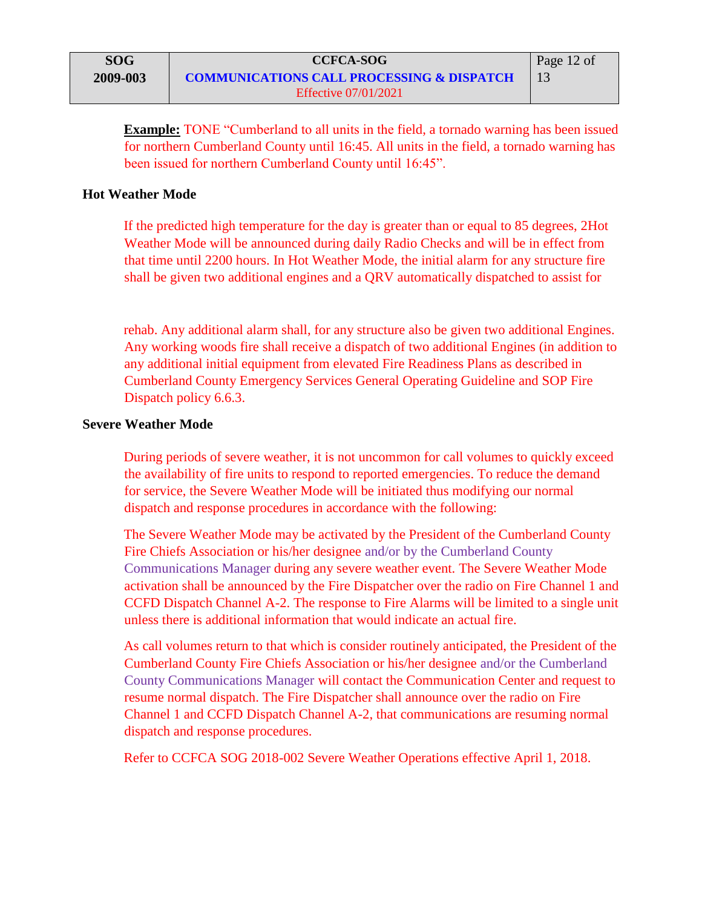**Example:** TONE "Cumberland to all units in the field, a tornado warning has been issued for northern Cumberland County until 16:45. All units in the field, a tornado warning has been issued for northern Cumberland County until 16:45".

## **Hot Weather Mode**

If the predicted high temperature for the day is greater than or equal to 85 degrees, 2Hot Weather Mode will be announced during daily Radio Checks and will be in effect from that time until 2200 hours. In Hot Weather Mode, the initial alarm for any structure fire shall be given two additional engines and a QRV automatically dispatched to assist for

rehab. Any additional alarm shall, for any structure also be given two additional Engines. Any working woods fire shall receive a dispatch of two additional Engines (in addition to any additional initial equipment from elevated Fire Readiness Plans as described in Cumberland County Emergency Services General Operating Guideline and SOP Fire Dispatch policy 6.6.3.

## **Severe Weather Mode**

During periods of severe weather, it is not uncommon for call volumes to quickly exceed the availability of fire units to respond to reported emergencies. To reduce the demand for service, the Severe Weather Mode will be initiated thus modifying our normal dispatch and response procedures in accordance with the following:

The Severe Weather Mode may be activated by the President of the Cumberland County Fire Chiefs Association or his/her designee and/or by the Cumberland County Communications Manager during any severe weather event. The Severe Weather Mode activation shall be announced by the Fire Dispatcher over the radio on Fire Channel 1 and CCFD Dispatch Channel A-2. The response to Fire Alarms will be limited to a single unit unless there is additional information that would indicate an actual fire.

As call volumes return to that which is consider routinely anticipated, the President of the Cumberland County Fire Chiefs Association or his/her designee and/or the Cumberland County Communications Manager will contact the Communication Center and request to resume normal dispatch. The Fire Dispatcher shall announce over the radio on Fire Channel 1 and CCFD Dispatch Channel A-2, that communications are resuming normal dispatch and response procedures.

Refer to CCFCA SOG 2018-002 Severe Weather Operations effective April 1, 2018.